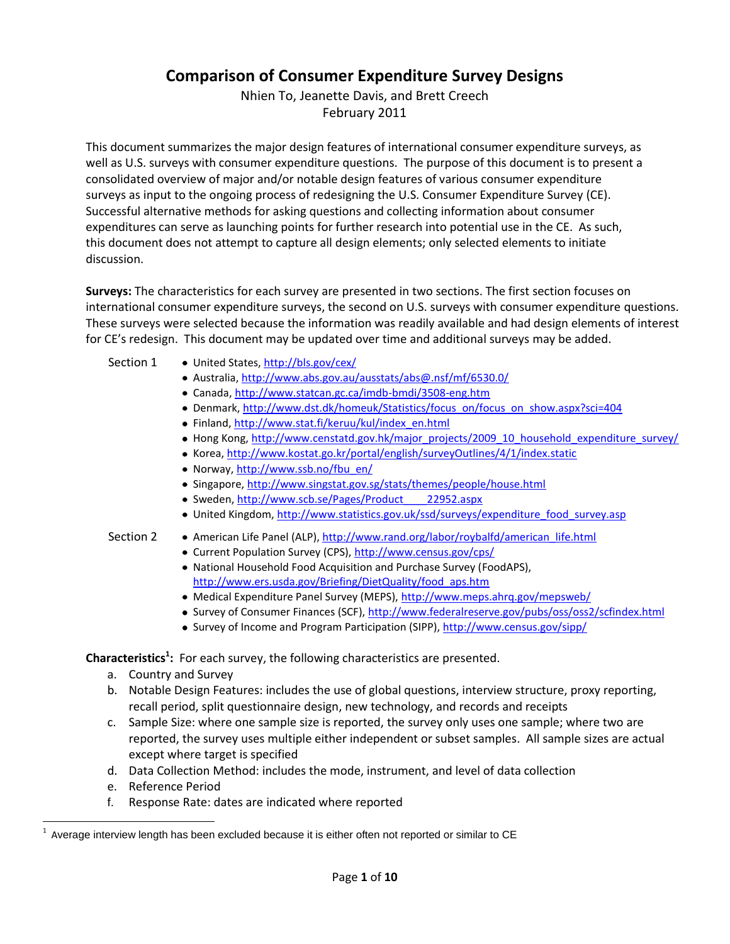## **Comparison of Consumer Expenditure Survey Designs**

Nhien To, Jeanette Davis, and Brett Creech February 2011

This document summarizes the major design features of international consumer expenditure surveys, as well as U.S. surveys with consumer expenditure questions. The purpose of this document is to present a consolidated overview of major and/or notable design features of various consumer expenditure surveys as input to the ongoing process of redesigning the U.S. Consumer Expenditure Survey (CE). Successful alternative methods for asking questions and collecting information about consumer expenditures can serve as launching points for further research into potential use in the CE. As such, this document does not attempt to capture all design elements; only selected elements to initiate discussion.

**Surveys:** The characteristics for each survey are presented in two sections. The first section focuses on international consumer expenditure surveys, the second on U.S. surveys with consumer expenditure questions. These surveys were selected because the information was readily available and had design elements of interest for CE's redesign. This document may be updated over time and additional surveys may be added.

- Section 1 United States[, http://bls.gov/cex/](http://bls.gov/cex/)
	- Australia[, http://www.abs.gov.au/ausstats/abs@.nsf/mf/6530.0/](http://www.abs.gov.au/ausstats/abs@.nsf/mf/6530.0/)
	- Canada,<http://www.statcan.gc.ca/imdb-bmdi/3508-eng.htm>
	- Denmark, [http://www.dst.dk/homeuk/Statistics/focus\\_on/focus\\_on\\_show.aspx?sci=404](http://www.dst.dk/homeuk/Statistics/focus_on/focus_on_show.aspx?sci=404)
	- Finland[, http://www.stat.fi/keruu/kul/index\\_en.html](http://www.stat.fi/keruu/kul/index_en.html)
	- Hong Kong, [http://www.censtatd.gov.hk/major\\_projects/2009\\_10\\_household\\_expenditure\\_survey/](http://www.censtatd.gov.hk/major_projects/2009_10_household_expenditure_survey/index.jsp)
	- Korea[, http://www.kostat.go.kr/portal/english/surveyOutlines/4/1/index.static](http://www.kostat.go.kr/portal/english/surveyOutlines/4/1/index.static)
	- Norway[, http://www.ssb.no/fbu\\_en/](http://www.ssb.no/fbu_en/)
	- Singapore[, http://www.singstat.gov.sg/stats/themes/people/house.html](http://www.singstat.gov.sg/stats/themes/people/house.html)
	- Sweden, http://www.scb.se/Pages/Product 22952.aspx
	- United Kingdom[, http://www.statistics.gov.uk/ssd/surveys/expenditure\\_food\\_survey.asp](http://www.statistics.gov.uk/ssd/surveys/expenditure_food_survey.asp)
- Section 2 American Life Panel (ALP)[, http://www.rand.org/labor/roybalfd/american\\_life.html](http://www.rand.org/labor/roybalfd/american_life.html)
	- Current Population Survey (CPS),<http://www.census.gov/cps/>
	- National Household Food Acquisition and Purchase Survey (FoodAPS), [http://www.ers.usda.gov/Briefing/DietQuality/food\\_aps.htm](http://www.ers.usda.gov/Briefing/DietQuality/food_aps.htm)
	- Medical Expenditure Panel Survey (MEPS)[, http://www.meps.ahrq.gov/mepsweb/](http://www.meps.ahrq.gov/mepsweb/)
	- Survey of Consumer Finances (SCF),<http://www.federalreserve.gov/pubs/oss/oss2/scfindex.html>
	- Survey of Income and Program Participation (SIPP),<http://www.census.gov/sipp/>

**Characteristics<sup>1</sup> :** For each survey, the following characteristics are presented.

- a. Country and Survey
- b. Notable Design Features: includes the use of global questions, interview structure, proxy reporting, recall period, split questionnaire design, new technology, and records and receipts
- c. Sample Size: where one sample size is reported, the survey only uses one sample; where two are reported, the survey uses multiple either independent or subset samples. All sample sizes are actual except where target is specified
- d. Data Collection Method: includes the mode, instrument, and level of data collection
- e. Reference Period

 $\overline{a}$ 

f. Response Rate: dates are indicated where reported

<sup>1</sup> Average interview length has been excluded because it is either often not reported or similar to CE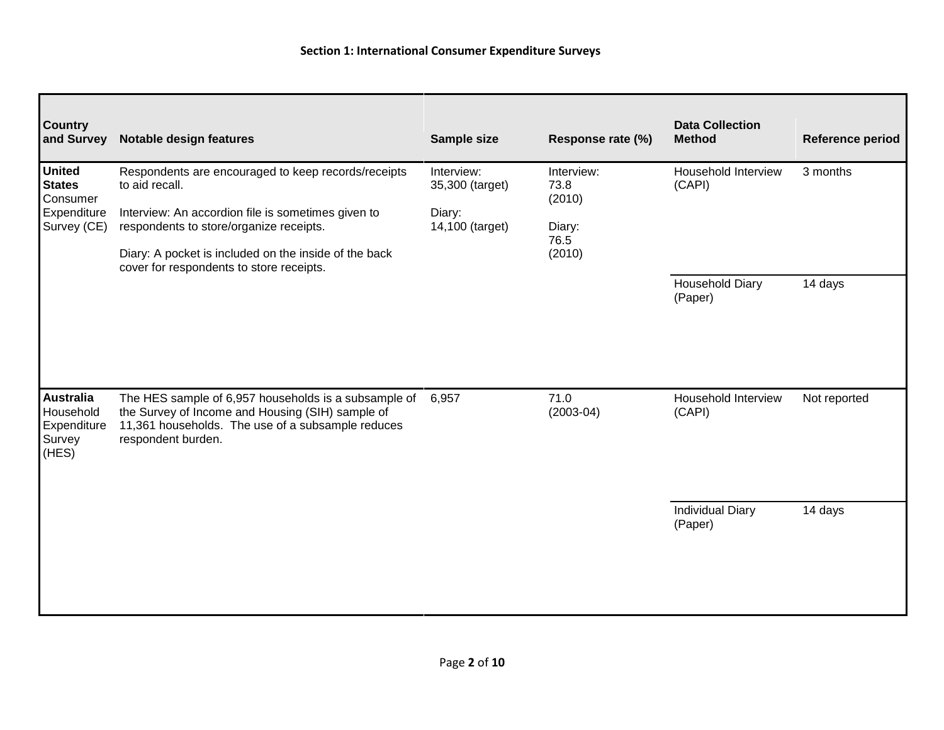| <b>Country</b><br>and Survey                                             | <b>Notable design features</b>                                                                                                                                                      | Sample size                                                | Response rate (%)                              | <b>Data Collection</b><br><b>Method</b> | <b>Reference period</b> |
|--------------------------------------------------------------------------|-------------------------------------------------------------------------------------------------------------------------------------------------------------------------------------|------------------------------------------------------------|------------------------------------------------|-----------------------------------------|-------------------------|
| <b>United</b><br><b>States</b><br>Consumer<br>Expenditure<br>Survey (CE) | Respondents are encouraged to keep records/receipts<br>to aid recall.<br>Interview: An accordion file is sometimes given to<br>respondents to store/organize receipts.              | Interview:<br>35,300 (target)<br>Diary:<br>14,100 (target) | Interview:<br>73.8<br>(2010)<br>Diary:<br>76.5 | Household Interview<br>(CAPI)           | 3 months                |
|                                                                          | Diary: A pocket is included on the inside of the back<br>cover for respondents to store receipts.                                                                                   |                                                            | (2010)                                         | <b>Household Diary</b><br>(Paper)       | 14 days                 |
| <b>Australia</b><br>Household<br>Expenditure<br>Survey<br>(HES)          | The HES sample of 6,957 households is a subsample of<br>the Survey of Income and Housing (SIH) sample of<br>11,361 households. The use of a subsample reduces<br>respondent burden. | 6,957                                                      | 71.0<br>$(2003-04)$                            | Household Interview<br>(CAPI)           | Not reported            |
|                                                                          |                                                                                                                                                                                     |                                                            |                                                | <b>Individual Diary</b><br>(Paper)      | 14 days                 |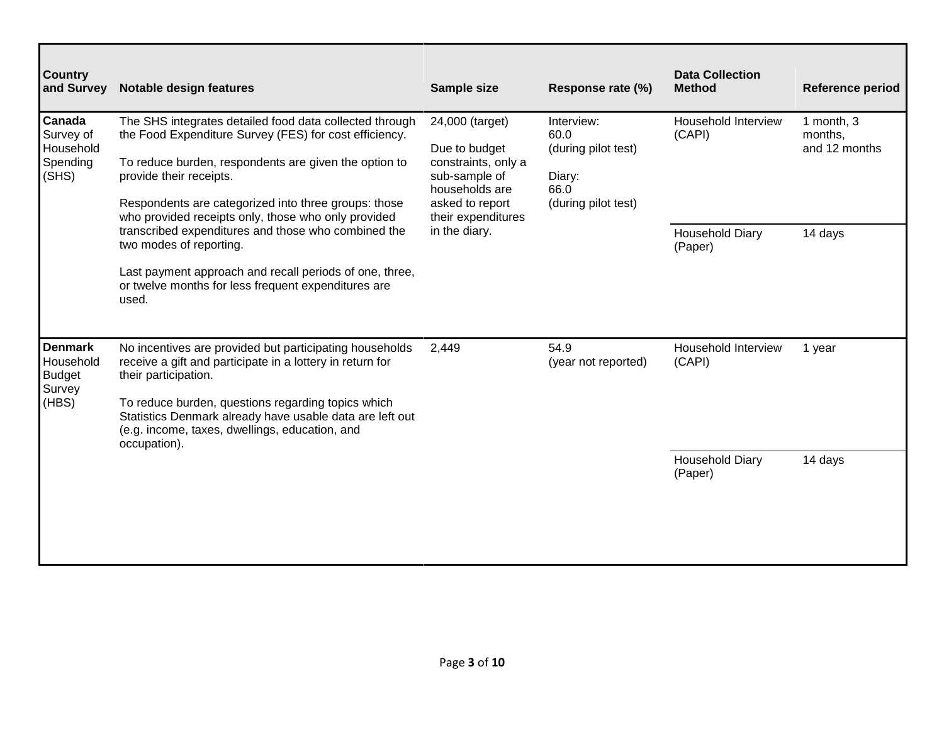| <b>Country</b><br>and Survey                                    | Notable design features                                                                                                                                                                                                                                                                                                                                                                                                                                           | Sample size                                                                                                                                          | Response rate (%)                                                                  | <b>Data Collection</b><br><b>Method</b>                            | <b>Reference period</b>                           |
|-----------------------------------------------------------------|-------------------------------------------------------------------------------------------------------------------------------------------------------------------------------------------------------------------------------------------------------------------------------------------------------------------------------------------------------------------------------------------------------------------------------------------------------------------|------------------------------------------------------------------------------------------------------------------------------------------------------|------------------------------------------------------------------------------------|--------------------------------------------------------------------|---------------------------------------------------|
| <b>Canada</b><br>Survey of<br>Household<br>Spending<br>(SHS)    | The SHS integrates detailed food data collected through<br>the Food Expenditure Survey (FES) for cost efficiency.<br>To reduce burden, respondents are given the option to<br>provide their receipts.<br>Respondents are categorized into three groups: those<br>who provided receipts only, those who only provided<br>transcribed expenditures and those who combined the<br>two modes of reporting.<br>Last payment approach and recall periods of one, three, | 24,000 (target)<br>Due to budget<br>constraints, only a<br>sub-sample of<br>households are<br>asked to report<br>their expenditures<br>in the diary. | Interview:<br>60.0<br>(during pilot test)<br>Diary:<br>66.0<br>(during pilot test) | Household Interview<br>(CAPI)<br><b>Household Diary</b><br>(Paper) | 1 month, 3<br>months,<br>and 12 months<br>14 days |
| <b>Denmark</b><br>Household<br><b>Budget</b><br>Survey<br>(HBS) | or twelve months for less frequent expenditures are<br>used.<br>No incentives are provided but participating households<br>receive a gift and participate in a lottery in return for<br>their participation.<br>To reduce burden, questions regarding topics which                                                                                                                                                                                                | 2,449                                                                                                                                                | 54.9<br>(year not reported)                                                        | Household Interview<br>(CAPI)                                      | 1 year                                            |
|                                                                 | Statistics Denmark already have usable data are left out<br>(e.g. income, taxes, dwellings, education, and<br>occupation).                                                                                                                                                                                                                                                                                                                                        |                                                                                                                                                      |                                                                                    | <b>Household Diary</b><br>(Paper)                                  | 14 days                                           |

Г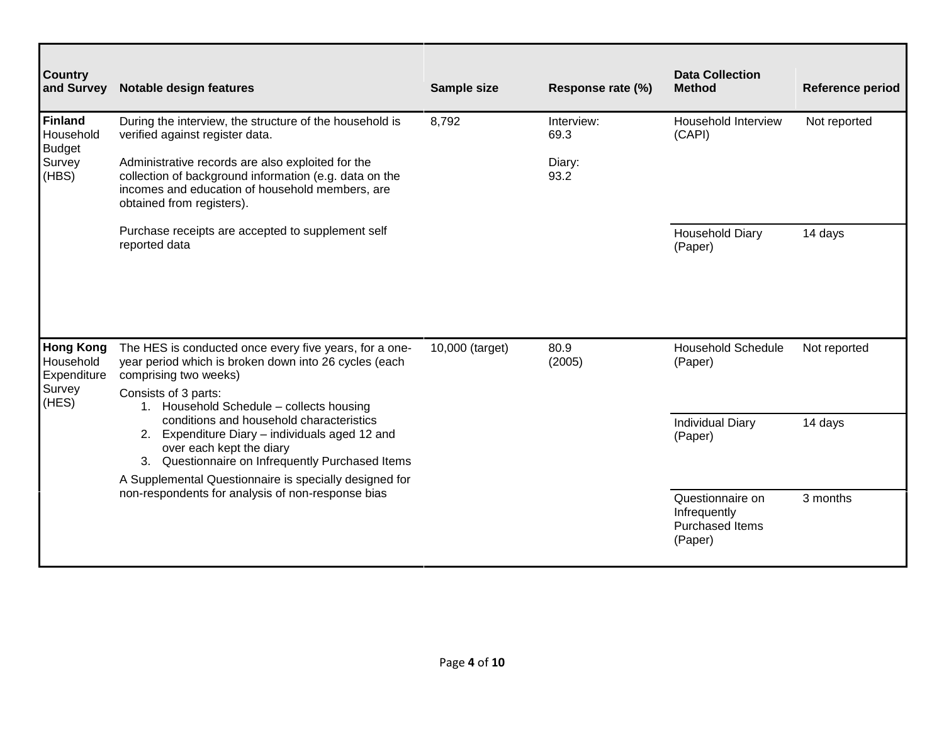| <b>Country</b><br>and Survey                 | <b>Notable design features</b>                                                                                                                                                                                                                 | Sample size     | Response rate (%)  | <b>Data Collection</b><br><b>Method</b>                               | Reference period |
|----------------------------------------------|------------------------------------------------------------------------------------------------------------------------------------------------------------------------------------------------------------------------------------------------|-----------------|--------------------|-----------------------------------------------------------------------|------------------|
| <b>Finland</b><br>Household<br><b>Budget</b> | During the interview, the structure of the household is<br>verified against register data.                                                                                                                                                     | 8,792           | Interview:<br>69.3 | Household Interview<br>(CAPI)                                         | Not reported     |
| Survey<br>(HBS)                              | Administrative records are also exploited for the<br>collection of background information (e.g. data on the<br>incomes and education of household members, are<br>obtained from registers).                                                    |                 | Diary:<br>93.2     |                                                                       |                  |
|                                              | Purchase receipts are accepted to supplement self<br>reported data                                                                                                                                                                             |                 |                    | <b>Household Diary</b><br>(Paper)                                     | 14 days          |
| <b>Hong Kong</b><br>Household<br>Expenditure | The HES is conducted once every five years, for a one-<br>year period which is broken down into 26 cycles (each<br>comprising two weeks)                                                                                                       | 10,000 (target) | 80.9<br>(2005)     | <b>Household Schedule</b><br>(Paper)                                  | Not reported     |
| Survey<br>(HES)                              | Consists of 3 parts:<br>1. Household Schedule - collects housing<br>conditions and household characteristics<br>2. Expenditure Diary - individuals aged 12 and<br>over each kept the diary<br>3. Questionnaire on Infrequently Purchased Items |                 |                    | <b>Individual Diary</b><br>(Paper)                                    | 14 days          |
|                                              | A Supplemental Questionnaire is specially designed for<br>non-respondents for analysis of non-response bias                                                                                                                                    |                 |                    | Questionnaire on<br>Infrequently<br><b>Purchased Items</b><br>(Paper) | 3 months         |

┑

┍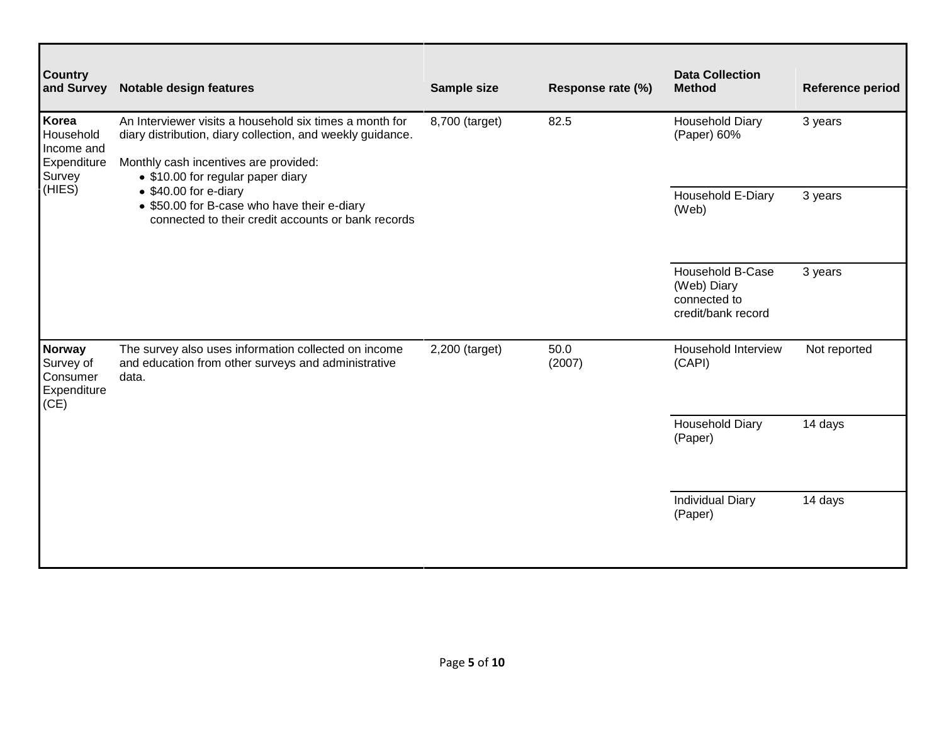| <b>Country</b><br>and Survey                           | <b>Notable design features</b>                                                                                             | Sample size    | Response rate (%) | <b>Data Collection</b><br><b>Method</b>                                      | Reference period |
|--------------------------------------------------------|----------------------------------------------------------------------------------------------------------------------------|----------------|-------------------|------------------------------------------------------------------------------|------------------|
| Korea<br>Household<br>Income and                       | An Interviewer visits a household six times a month for<br>diary distribution, diary collection, and weekly guidance.      | 8,700 (target) | 82.5              | <b>Household Diary</b><br>(Paper) 60%                                        | 3 years          |
| Expenditure<br>Survey                                  | Monthly cash incentives are provided:<br>• \$10.00 for regular paper diary                                                 |                |                   |                                                                              |                  |
| (HIES)                                                 | • \$40.00 for e-diary<br>• \$50.00 for B-case who have their e-diary<br>connected to their credit accounts or bank records |                |                   | Household E-Diary<br>(Web)                                                   | 3 years          |
|                                                        |                                                                                                                            |                |                   | <b>Household B-Case</b><br>(Web) Diary<br>connected to<br>credit/bank record | 3 years          |
| Norway<br>Survey of<br>Consumer<br>Expenditure<br>(CE) | The survey also uses information collected on income<br>and education from other surveys and administrative<br>data.       | 2,200 (target) | 50.0<br>(2007)    | Household Interview<br>(CAPI)                                                | Not reported     |
|                                                        |                                                                                                                            |                |                   | <b>Household Diary</b><br>(Paper)                                            | 14 days          |
|                                                        |                                                                                                                            |                |                   | <b>Individual Diary</b><br>(Paper)                                           | 14 days          |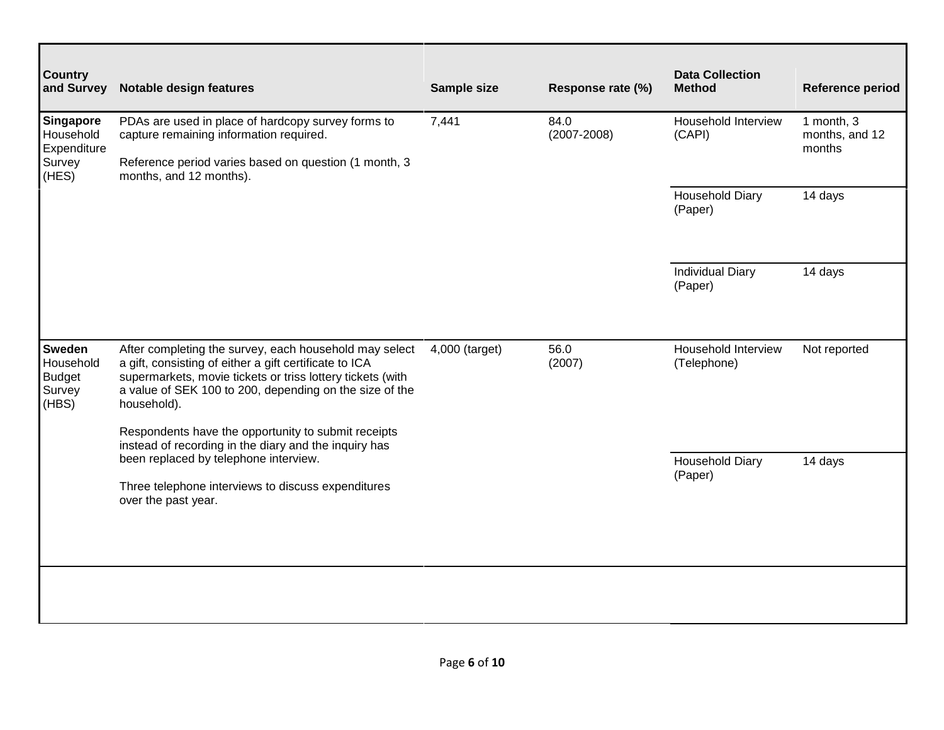| <b>Country</b><br>and Survey                             | <b>Notable design features</b>                                                                                                                                                                                                                           | Sample size    | Response rate (%)       | <b>Data Collection</b><br><b>Method</b> | Reference period                       |
|----------------------------------------------------------|----------------------------------------------------------------------------------------------------------------------------------------------------------------------------------------------------------------------------------------------------------|----------------|-------------------------|-----------------------------------------|----------------------------------------|
| Singapore<br>Household<br>Expenditure<br>Survey<br>(HES) | PDAs are used in place of hardcopy survey forms to<br>capture remaining information required.<br>Reference period varies based on question (1 month, 3<br>months, and 12 months).                                                                        | 7,441          | 84.0<br>$(2007 - 2008)$ | Household Interview<br>(CAPI)           | 1 month, 3<br>months, and 12<br>months |
|                                                          |                                                                                                                                                                                                                                                          |                |                         | <b>Household Diary</b><br>(Paper)       | 14 days                                |
|                                                          |                                                                                                                                                                                                                                                          |                |                         | <b>Individual Diary</b><br>(Paper)      | 14 days                                |
| Sweden<br>Household<br><b>Budget</b><br>Survey<br>(HBS)  | After completing the survey, each household may select<br>a gift, consisting of either a gift certificate to ICA<br>supermarkets, movie tickets or triss lottery tickets (with<br>a value of SEK 100 to 200, depending on the size of the<br>household). | 4,000 (target) | 56.0<br>(2007)          | Household Interview<br>(Telephone)      | Not reported                           |
|                                                          | Respondents have the opportunity to submit receipts<br>instead of recording in the diary and the inquiry has<br>been replaced by telephone interview.                                                                                                    |                |                         | <b>Household Diary</b>                  | 14 days                                |
|                                                          | Three telephone interviews to discuss expenditures<br>over the past year.                                                                                                                                                                                |                |                         | (Paper)                                 |                                        |
|                                                          |                                                                                                                                                                                                                                                          |                |                         |                                         |                                        |
|                                                          |                                                                                                                                                                                                                                                          |                |                         |                                         |                                        |

┑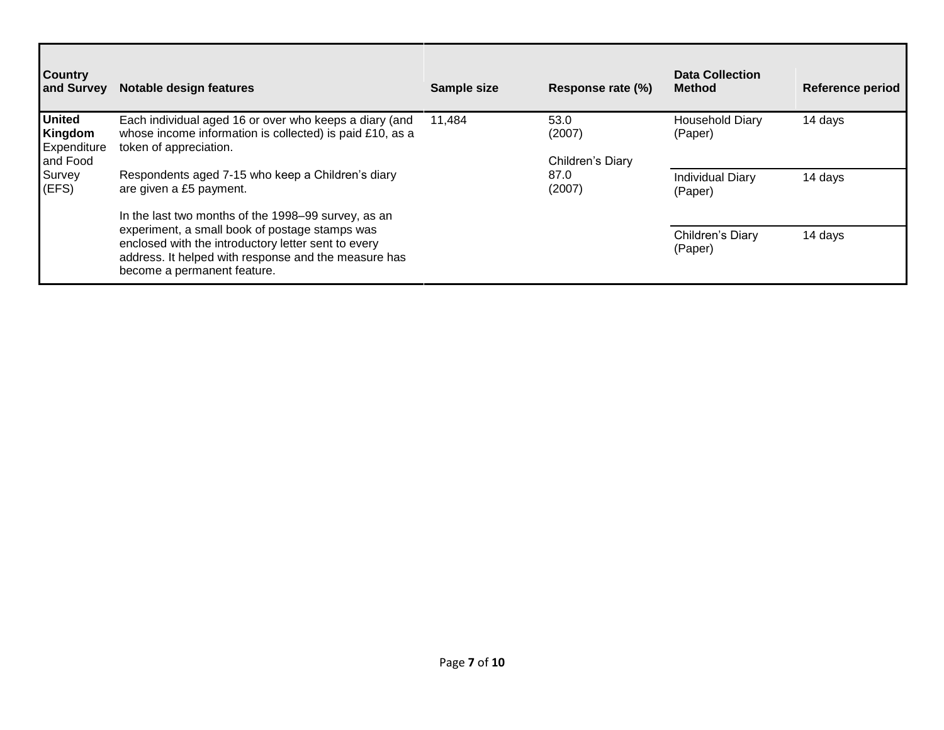| <b>Country</b><br>and Survey                        | Notable design features                                                                                                                                                                      | Sample size | Response rate (%)                  | <b>Data Collection</b><br><b>Method</b> | Reference period |
|-----------------------------------------------------|----------------------------------------------------------------------------------------------------------------------------------------------------------------------------------------------|-------------|------------------------------------|-----------------------------------------|------------------|
| <b>United</b><br>Kingdom<br>Expenditure<br>and Food | Each individual aged 16 or over who keeps a diary (and<br>whose income information is collected) is paid £10, as a<br>token of appreciation.                                                 | 11,484      | 53.0<br>(2007)<br>Children's Diary | <b>Household Diary</b><br>(Paper)       | 14 days          |
| Survey<br>(EFS)                                     | Respondents aged 7-15 who keep a Children's diary<br>are given a £5 payment.<br>In the last two months of the 1998–99 survey, as an                                                          |             | 87.0<br>(2007)                     | <b>Individual Diary</b><br>(Paper)      | 14 days          |
|                                                     | experiment, a small book of postage stamps was<br>enclosed with the introductory letter sent to every<br>address. It helped with response and the measure has<br>become a permanent feature. |             |                                    | Children's Diary<br>(Paper)             | 14 days          |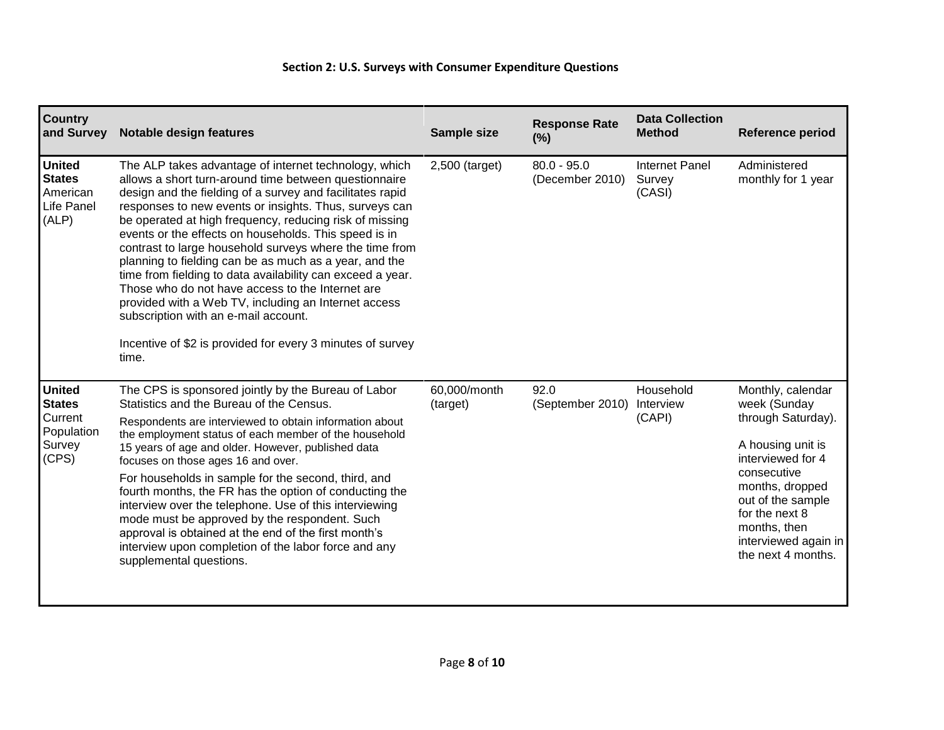## **Section 2: U.S. Surveys with Consumer Expenditure Questions**

| <b>Country</b><br>and Survey                                               | Notable design features                                                                                                                                                                                                                                                                                                                                                                                                                                                                                                                                                                                                                                                                                                                                                 | Sample size              | <b>Response Rate</b><br>(%)      | <b>Data Collection</b><br><b>Method</b>   | <b>Reference period</b>                                                                                                                                                                                                                  |
|----------------------------------------------------------------------------|-------------------------------------------------------------------------------------------------------------------------------------------------------------------------------------------------------------------------------------------------------------------------------------------------------------------------------------------------------------------------------------------------------------------------------------------------------------------------------------------------------------------------------------------------------------------------------------------------------------------------------------------------------------------------------------------------------------------------------------------------------------------------|--------------------------|----------------------------------|-------------------------------------------|------------------------------------------------------------------------------------------------------------------------------------------------------------------------------------------------------------------------------------------|
| <b>United</b><br><b>States</b><br>American<br>Life Panel<br>(ALP)          | The ALP takes advantage of internet technology, which<br>allows a short turn-around time between questionnaire<br>design and the fielding of a survey and facilitates rapid<br>responses to new events or insights. Thus, surveys can<br>be operated at high frequency, reducing risk of missing<br>events or the effects on households. This speed is in<br>contrast to large household surveys where the time from<br>planning to fielding can be as much as a year, and the<br>time from fielding to data availability can exceed a year.<br>Those who do not have access to the Internet are<br>provided with a Web TV, including an Internet access<br>subscription with an e-mail account.<br>Incentive of \$2 is provided for every 3 minutes of survey<br>time. | 2,500 (target)           | $80.0 - 95.0$<br>(December 2010) | <b>Internet Panel</b><br>Survey<br>(CASI) | Administered<br>monthly for 1 year                                                                                                                                                                                                       |
| <b>United</b><br><b>States</b><br>Current<br>Population<br>Survey<br>(CPS) | The CPS is sponsored jointly by the Bureau of Labor<br>Statistics and the Bureau of the Census.<br>Respondents are interviewed to obtain information about<br>the employment status of each member of the household<br>15 years of age and older. However, published data<br>focuses on those ages 16 and over.<br>For households in sample for the second, third, and<br>fourth months, the FR has the option of conducting the<br>interview over the telephone. Use of this interviewing<br>mode must be approved by the respondent. Such<br>approval is obtained at the end of the first month's<br>interview upon completion of the labor force and any<br>supplemental questions.                                                                                  | 60,000/month<br>(target) | 92.0<br>(September 2010)         | Household<br>Interview<br>(CAPI)          | Monthly, calendar<br>week (Sunday<br>through Saturday).<br>A housing unit is<br>interviewed for 4<br>consecutive<br>months, dropped<br>out of the sample<br>for the next 8<br>months, then<br>interviewed again in<br>the next 4 months. |
|                                                                            |                                                                                                                                                                                                                                                                                                                                                                                                                                                                                                                                                                                                                                                                                                                                                                         |                          |                                  |                                           |                                                                                                                                                                                                                                          |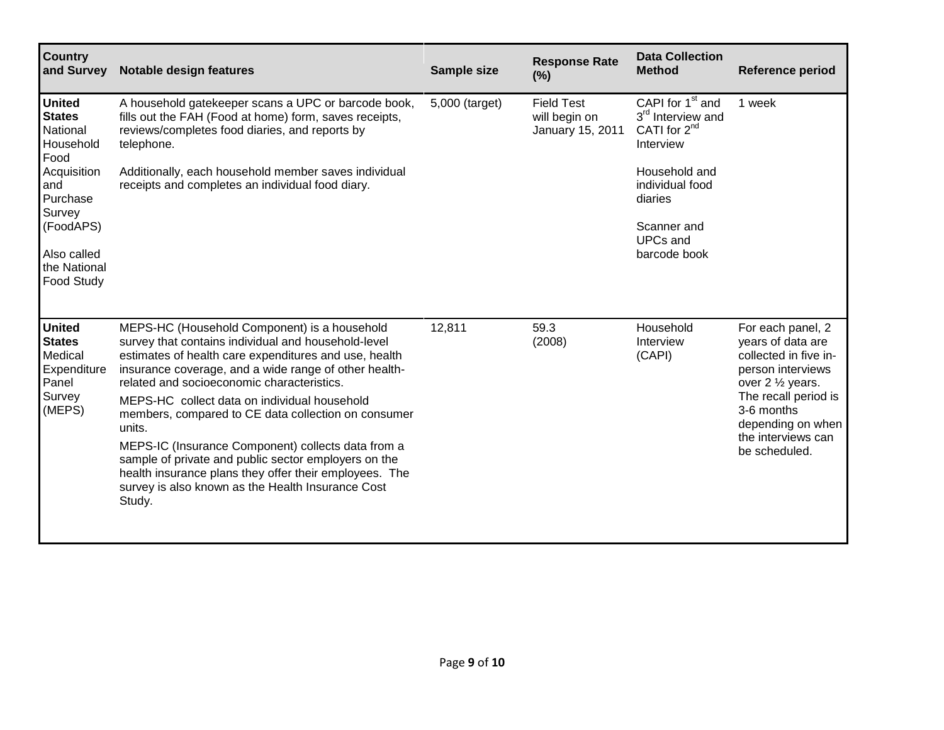| <b>Country</b><br>and Survey                                                          | Notable design features                                                                                                                                                                                                                                                                                                                                                                                                                                                                                                                                                                                                     | Sample size    | <b>Response Rate</b><br>(%)                            | <b>Data Collection</b><br><b>Method</b>                                                                                             | <b>Reference period</b>                                                                                                                                                                                     |
|---------------------------------------------------------------------------------------|-----------------------------------------------------------------------------------------------------------------------------------------------------------------------------------------------------------------------------------------------------------------------------------------------------------------------------------------------------------------------------------------------------------------------------------------------------------------------------------------------------------------------------------------------------------------------------------------------------------------------------|----------------|--------------------------------------------------------|-------------------------------------------------------------------------------------------------------------------------------------|-------------------------------------------------------------------------------------------------------------------------------------------------------------------------------------------------------------|
| <b>United</b><br><b>States</b><br>National<br>Household<br>Food<br>Acquisition<br>and | A household gatekeeper scans a UPC or barcode book,<br>fills out the FAH (Food at home) form, saves receipts,<br>reviews/completes food diaries, and reports by<br>telephone.<br>Additionally, each household member saves individual<br>receipts and completes an individual food diary.                                                                                                                                                                                                                                                                                                                                   | 5,000 (target) | <b>Field Test</b><br>will begin on<br>January 15, 2011 | CAPI for 1 <sup>st</sup> and<br>3 <sup>rd</sup> Interview and<br>CATI for $2^{nd}$<br>Interview<br>Household and<br>individual food | 1 week                                                                                                                                                                                                      |
| Purchase<br>Survey<br>(FoodAPS)<br>Also called<br>the National<br><b>Food Study</b>   |                                                                                                                                                                                                                                                                                                                                                                                                                                                                                                                                                                                                                             |                |                                                        | diaries<br>Scanner and<br><b>UPCs and</b><br>barcode book                                                                           |                                                                                                                                                                                                             |
| <b>United</b><br><b>States</b><br>Medical<br>Expenditure<br>Panel<br>Survey<br>(MEPS) | MEPS-HC (Household Component) is a household<br>survey that contains individual and household-level<br>estimates of health care expenditures and use, health<br>insurance coverage, and a wide range of other health-<br>related and socioeconomic characteristics.<br>MEPS-HC collect data on individual household<br>members, compared to CE data collection on consumer<br>units.<br>MEPS-IC (Insurance Component) collects data from a<br>sample of private and public sector employers on the<br>health insurance plans they offer their employees. The<br>survey is also known as the Health Insurance Cost<br>Study. | 12,811         | 59.3<br>(2008)                                         | Household<br>Interview<br>(CAPI)                                                                                                    | For each panel, 2<br>years of data are<br>collected in five in-<br>person interviews<br>over 2 1/2 years.<br>The recall period is<br>3-6 months<br>depending on when<br>the interviews can<br>be scheduled. |